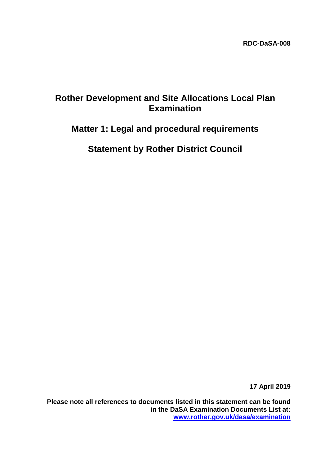## **Rother Development and Site Allocations Local Plan Examination**

# **Matter 1: Legal and procedural requirements**

**Statement by Rother District Council**

**17 April 2019**

**Please note all references to documents listed in this statement can be found in the DaSA Examination Documents List at: [www.rother.gov.uk/dasa/examination](http://www.rother.gov.uk/dasa/examination)**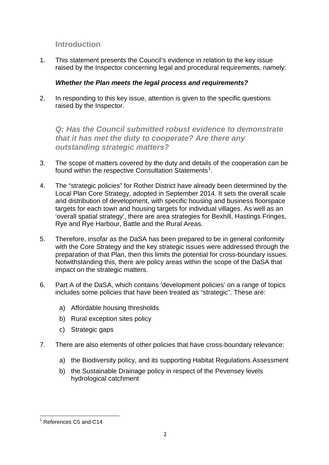### **Introduction**

1. This statement presents the Council's evidence in relation to the key issue raised by the Inspector concerning legal and procedural requirements, namely:

#### *Whether the Plan meets the legal process and requirements?*

2. In responding to this key issue, attention is given to the specific questions raised by the Inspector.

*Q: Has the Council submitted robust evidence to demonstrate that it has met the duty to cooperate? Are there any outstanding strategic matters?* 

- 3. The scope of matters covered by the duty and details of the cooperation can be found within the respective Consultation Statements<sup>[1](#page-1-0)</sup>.
- 4. The "strategic policies" for Rother District have already been determined by the Local Plan Core Strategy, adopted in September 2014. It sets the overall scale and distribution of development, with specific housing and business floorspace targets for each town and housing targets for individual villages. As well as an 'overall spatial strategy', there are area strategies for Bexhill, Hastings Fringes, Rye and Rye Harbour, Battle and the Rural Areas.
- 5. Therefore, insofar as the DaSA has been prepared to be in general conformity with the Core Strategy and the key strategic issues were addressed through the preparation of that Plan, then this limits the potential for cross-boundary issues. Notwithstanding this, there are policy areas within the scope of the DaSA that impact on the strategic matters.
- 6. Part A of the DaSA, which contains 'development policies' on a range of topics includes some policies that have been treated as "strategic". These are:
	- a) Affordable housing thresholds
	- b) Rural exception sites policy
	- c) Strategic gaps
- 7. There are also elements of other policies that have cross-boundary relevance:
	- a) the Biodiversity policy, and its supporting Habitat Regulations Assessment
	- b) the Sustainable Drainage policy in respect of the Pevensey levels hydrological catchment

<span id="page-1-0"></span><sup>1</sup> References C5 and C14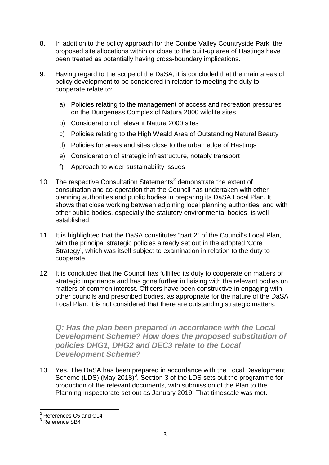- 8. In addition to the policy approach for the Combe Valley Countryside Park, the proposed site allocations within or close to the built-up area of Hastings have been treated as potentially having cross-boundary implications.
- 9. Having regard to the scope of the DaSA, it is concluded that the main areas of policy development to be considered in relation to meeting the duty to cooperate relate to:
	- a) Policies relating to the management of access and recreation pressures on the Dungeness Complex of Natura 2000 wildlife sites
	- b) Consideration of relevant Natura 2000 sites
	- c) Policies relating to the High Weald Area of Outstanding Natural Beauty
	- d) Policies for areas and sites close to the urban edge of Hastings
	- e) Consideration of strategic infrastructure, notably transport
	- f) Approach to wider sustainability issues
- 10. The respective Consultation Statements<sup>[2](#page-2-0)</sup> demonstrate the extent of consultation and co-operation that the Council has undertaken with other planning authorities and public bodies in preparing its DaSA Local Plan. It shows that close working between adjoining local planning authorities, and with other public bodies, especially the statutory environmental bodies, is well established.
- 11. It is highlighted that the DaSA constitutes "part 2" of the Council's Local Plan, with the principal strategic policies already set out in the adopted 'Core Strategy', which was itself subject to examination in relation to the duty to cooperate
- 12. It is concluded that the Council has fulfilled its duty to cooperate on matters of strategic importance and has gone further in liaising with the relevant bodies on matters of common interest. Officers have been constructive in engaging with other councils and prescribed bodies, as appropriate for the nature of the DaSA Local Plan. It is not considered that there are outstanding strategic matters.

**Q: Has the plan been prepared in accordance with the Local** *Development Scheme? How does the proposed substitution of policies DHG1, DHG2 and DEC3 relate to the Local Development Scheme?* 

13. Yes. The DaSA has been prepared in accordance with the Local Development Scheme (LDS) (May 2018)<sup>[3](#page-2-1)</sup>. Section 3 of the LDS sets out the programme for production of the relevant documents, with submission of the Plan to the Planning Inspectorate set out as January 2019. That timescale was met.

<span id="page-2-0"></span><sup>2</sup> References C5 and C14

<span id="page-2-1"></span><sup>3</sup> Reference SB4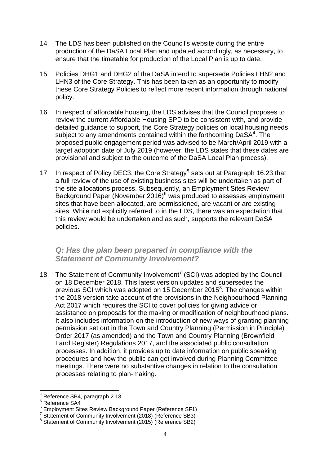- 14. The LDS has been published on the Council's website during the entire production of the DaSA Local Plan and updated accordingly, as necessary, to ensure that the timetable for production of the Local Plan is up to date.
- 15. Policies DHG1 and DHG2 of the DaSA intend to supersede Policies LHN2 and LHN3 of the Core Strategy. This has been taken as an opportunity to modify these Core Strategy Policies to reflect more recent information through national policy.
- 16. In respect of affordable housing, the LDS advises that the Council proposes to review the current Affordable Housing SPD to be consistent with, and provide detailed guidance to support, the Core Strategy policies on local housing needs subject to any amendments contained within the forthcoming DaSA<sup>[4](#page-3-0)</sup>. The proposed public engagement period was advised to be March/April 2019 with a target adoption date of July 2019 (however, the LDS states that these dates are provisional and subject to the outcome of the DaSA Local Plan process).
- 17. In respect of Policy DEC3, the Core Strategy<sup>[5](#page-3-1)</sup> sets out at Paragraph 16.23 that a full review of the use of existing business sites will be undertaken as part of the site allocations process. Subsequently, an Employment Sites Review Background Paper (November 201[6](#page-3-2))<sup>6</sup> was produced to assesses employment sites that have been allocated, are permissioned, are vacant or are existing sites. While not explicitly referred to in the LDS, there was an expectation that this review would be undertaken and as such, supports the relevant DaSA policies.

#### *Q: Has the plan been prepared in compliance with the Statement of Community Involvement?*

18. The Statement of Community Involvement<sup>[7](#page-3-3)</sup> (SCI) was adopted by the Council on 18 December 2018. This latest version updates and supersedes the previous SCI which was adopted on 15 December 2015<sup>[8](#page-3-4)</sup>. The changes within the 2018 version take account of the provisions in the Neighbourhood Planning Act 2017 which requires the SCI to cover policies for giving advice or assistance on proposals for the making or modification of neighbourhood plans. It also includes information on the introduction of new ways of granting planning permission set out in the Town and Country Planning (Permission in Principle) Order 2017 (as amended) and the Town and Country Planning (Brownfield Land Register) Regulations 2017, and the associated public consultation processes. In addition, it provides up to date information on public speaking procedures and how the public can get involved during Planning Committee meetings. There were no substantive changes in relation to the consultation processes relating to plan-making.

Reference SB4, paragraph 2.13

<span id="page-3-1"></span><span id="page-3-0"></span><sup>5</sup> Reference SA4

<span id="page-3-2"></span><sup>&</sup>lt;sup>6</sup> Employment Sites Review Background Paper (Reference SF1)

<sup>7</sup> Statement of Community Involvement (2018) (Reference SB3)

<span id="page-3-4"></span><span id="page-3-3"></span><sup>&</sup>lt;sup>8</sup> Statement of Community Involvement (2015) (Reference SB2)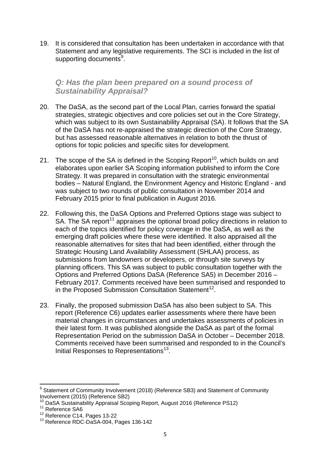19. It is considered that consultation has been undertaken in accordance with that Statement and any legislative requirements. The SCI is included in the list of supporting documents<sup>[9](#page-4-0)</sup>.

#### *Q: Has the plan been prepared on a sound process of Sustainability Appraisal?*

- 20. The DaSA, as the second part of the Local Plan, carries forward the spatial strategies, strategic objectives and core policies set out in the Core Strategy, which was subject to its own Sustainability Appraisal (SA). It follows that the SA of the DaSA has not re-appraised the strategic direction of the Core Strategy, but has assessed reasonable alternatives in relation to both the thrust of options for topic policies and specific sites for development.
- 21. The scope of the SA is defined in the Scoping Report<sup>10</sup>, which builds on and elaborates upon earlier SA Scoping information published to inform the Core Strategy. It was prepared in consultation with the strategic environmental bodies – Natural England, the Environment Agency and Historic England - and was subject to two rounds of public consultation in November 2014 and February 2015 prior to final publication in August 2016.
- 22. Following this, the DaSA Options and Preferred Options stage was subject to SA. The SA report<sup>[11](#page-4-2)</sup> appraises the optional broad policy directions in relation to each of the topics identified for policy coverage in the DaSA, as well as the emerging draft policies where these were identified. It also appraised all the reasonable alternatives for sites that had been identified, either through the Strategic Housing Land Availability Assessment (SHLAA) process, as submissions from landowners or developers, or through site surveys by planning officers. This SA was subject to public consultation together with the Options and Preferred Options DaSA (Reference SA5) in December 2016 – February 2017. Comments received have been summarised and responded to in the Proposed Submission Consultation Statement<sup>[12](#page-4-3)</sup>.
- 23. Finally, the proposed submission DaSA has also been subject to SA. This report (Reference C6) updates earlier assessments where there have been material changes in circumstances and undertakes assessments of policies in their latest form. It was published alongside the DaSA as part of the formal Representation Period on the submission DaSA in October – December 2018. Comments received have been summarised and responded to in the Council's Initial Responses to Representations<sup>[13](#page-4-4)</sup>.

<span id="page-4-0"></span><sup>&</sup>lt;sup>9</sup> Statement of Community Involvement (2018) (Reference SB3) and Statement of Community Involvement (2015) (Reference SB2)

<span id="page-4-1"></span><sup>&</sup>lt;sup>10</sup> DaSA Sustainability Appraisal Scoping Report, August 2016 (Reference PS12)<br><sup>11</sup> Reference SA6

<span id="page-4-3"></span><span id="page-4-2"></span><sup>12</sup> Reference C14, Pages 13-22

<span id="page-4-4"></span><sup>&</sup>lt;sup>13</sup> Reference RDC-DaSA-004, Pages 136-142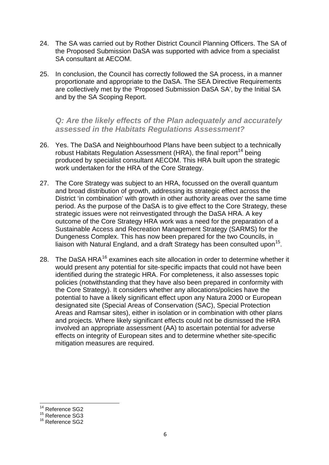- 24. The SA was carried out by Rother District Council Planning Officers. The SA of the Proposed Submission DaSA was supported with advice from a specialist SA consultant at AECOM.
- 25. In conclusion, the Council has correctly followed the SA process, in a manner proportionate and appropriate to the DaSA. The SEA Directive Requirements are collectively met by the 'Proposed Submission DaSA SA', by the Initial SA and by the SA Scoping Report.

*Q: Are the likely effects of the Plan adequately and accurately assessed in the Habitats Regulations Assessment?* 

- 26. Yes. The DaSA and Neighbourhood Plans have been subject to a technically robust Habitats Regulation Assessment (HRA), the final report<sup>[14](#page-5-0)</sup> being produced by specialist consultant AECOM. This HRA built upon the strategic work undertaken for the HRA of the Core Strategy.
- 27. The Core Strategy was subject to an HRA, focussed on the overall quantum and broad distribution of growth, addressing its strategic effect across the District 'in combination' with growth in other authority areas over the same time period. As the purpose of the DaSA is to give effect to the Core Strategy, these strategic issues were not reinvestigated through the DaSA HRA. A key outcome of the Core Strategy HRA work was a need for the preparation of a Sustainable Access and Recreation Management Strategy (SARMS) for the Dungeness Complex. This has now been prepared for the two Councils, in liaison with Natural England, and a draft Strategy has been consulted upon<sup>[15](#page-5-1)</sup>.
- 28. The DaSA HRA<sup>[16](#page-5-2)</sup> examines each site allocation in order to determine whether it would present any potential for site-specific impacts that could not have been identified during the strategic HRA. For completeness, it also assesses topic policies (notwithstanding that they have also been prepared in conformity with the Core Strategy). It considers whether any allocations/policies have the potential to have a likely significant effect upon any Natura 2000 or European designated site (Special Areas of Conservation (SAC), Special Protection Areas and Ramsar sites), either in isolation or in combination with other plans and projects. Where likely significant effects could not be dismissed the HRA involved an appropriate assessment (AA) to ascertain potential for adverse effects on integrity of European sites and to determine whether site-specific mitigation measures are required.

<span id="page-5-0"></span><sup>&</sup>lt;sup>14</sup> Reference SG2

<span id="page-5-1"></span><sup>&</sup>lt;sup>15</sup> Reference SG3

<span id="page-5-2"></span><sup>&</sup>lt;sup>16</sup> Reference SG2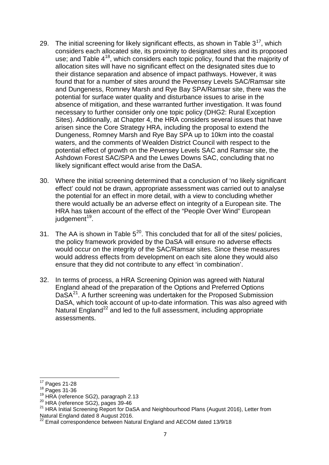- 29. The initial screening for likely significant effects, as shown in Table  $3^{17}$ , which considers each allocated site, its proximity to designated sites and its proposed use; and Table 4<sup>[18](#page-6-1)</sup>, which considers each topic policy, found that the majority of allocation sites will have no significant effect on the designated sites due to their distance separation and absence of impact pathways. However, it was found that for a number of sites around the Pevensey Levels SAC/Ramsar site and Dungeness, Romney Marsh and Rye Bay SPA/Ramsar site, there was the potential for surface water quality and disturbance issues to arise in the absence of mitigation, and these warranted further investigation. It was found necessary to further consider only one topic policy (DHG2: Rural Exception Sites). Additionally, at Chapter 4, the HRA considers several issues that have arisen since the Core Strategy HRA, including the proposal to extend the Dungeness, Romney Marsh and Rye Bay SPA up to 10km into the coastal waters, and the comments of Wealden District Council with respect to the potential effect of growth on the Pevensey Levels SAC and Ramsar site, the Ashdown Forest SAC/SPA and the Lewes Downs SAC, concluding that no likely significant effect would arise from the DaSA.
- 30. Where the initial screening determined that a conclusion of 'no likely significant effect' could not be drawn, appropriate assessment was carried out to analyse the potential for an effect in more detail, with a view to concluding whether there would actually be an adverse effect on integrity of a European site. The HRA has taken account of the effect of the "People Over Wind" European judgement<sup>19</sup>.
- 31. The AA is shown in Table  $5^{20}$ . This concluded that for all of the sites/ policies, the policy framework provided by the DaSA will ensure no adverse effects would occur on the integrity of the SAC/Ramsar sites. Since these measures would address effects from development on each site alone they would also ensure that they did not contribute to any effect 'in combination'.
- 32. In terms of process, a HRA Screening Opinion was agreed with Natural England ahead of the preparation of the Options and Preferred Options DaSA<sup>[21](#page-6-4)</sup>. A further screening was undertaken for the Proposed Submission DaSA, which took account of up-to-date information. This was also agreed with Natural England<sup>[22](#page-6-5)</sup> and led to the full assessment, including appropriate assessments.

<span id="page-6-0"></span> $17$  Pages 21-28

<span id="page-6-1"></span> $18^{18}$  Pages 31-36<br> $19$  HRA (reference SG2), paragraph 2.13

<span id="page-6-3"></span><span id="page-6-2"></span> $^{20}$  HRA (reference SG2), pages 39-46

<span id="page-6-4"></span><sup>&</sup>lt;sup>21</sup> HRA Initial Screening Report for DaSA and Neighbourhood Plans (August 2016), Letter from Natural England dated 8 August 2016.

<span id="page-6-5"></span><sup>22</sup> Email correspondence between Natural England and AECOM dated 13/9/18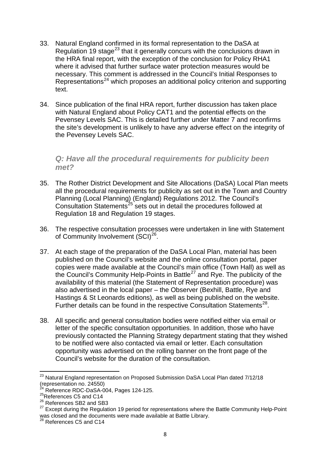- 33. Natural England confirmed in its formal representation to the DaSA at Regulation 19 stage<sup>[23](#page-7-0)</sup> that it generally concurs with the conclusions drawn in the HRA final report, with the exception of the conclusion for Policy RHA1 where it advised that further surface water protection measures would be necessary. This comment is addressed in the Council's Initial Responses to Representations<sup>[24](#page-7-1)</sup> which proposes an additional policy criterion and supporting text.
- 34. Since publication of the final HRA report, further discussion has taken place with Natural England about Policy CAT1 and the potential effects on the Pevensey Levels SAC. This is detailed further under Matter 7 and reconfirms the site's development is unlikely to have any adverse effect on the integrity of the Pevensey Levels SAC.

#### *Q: Have all the procedural requirements for publicity been met?*

- 35. The Rother District Development and Site Allocations (DaSA) Local Plan meets all the procedural requirements for publicity as set out in the Town and Country Planning (Local Planning) (England) Regulations 2012. The Council's Consultation Statements<sup>[25](#page-7-2)</sup> sets out in detail the procedures followed at Regulation 18 and Regulation 19 stages.
- 36. The respective consultation processes were undertaken in line with Statement of Community Involvement (SCI)<sup>[26](#page-7-3)</sup>.
- 37. At each stage of the preparation of the DaSA Local Plan, material has been published on the Council's website and the online consultation portal, paper copies were made available at the Council's main office (Town Hall) as well as the Council's Community Help-Points in Battle<sup>[27](#page-7-4)</sup> and Rye. The publicity of the availability of this material (the Statement of Representation procedure) was also advertised in the local paper – the Observer (Bexhill, Battle, Rye and Hastings & St Leonards editions), as well as being published on the website. Further details can be found in the respective Consultation Statements<sup>28</sup>.
- 38. All specific and general consultation bodies were notified either via email or letter of the specific consultation opportunities. In addition, those who have previously contacted the Planning Strategy department stating that they wished to be notified were also contacted via email or letter. Each consultation opportunity was advertised on the rolling banner on the front page of the Council's website for the duration of the consultation.

<span id="page-7-0"></span><sup>&</sup>lt;sup>23</sup> Natural England representation on Proposed Submission DaSA Local Plan dated 7/12/18 (representation no. 24550)

<span id="page-7-1"></span> $^{24}$  Reference RDC-DaSA-004, Pages 124-125.

<span id="page-7-2"></span> $^{25}$ References C5 and C14

 $^{26}_{-2}$  References SB2 and SB3

<span id="page-7-4"></span><span id="page-7-3"></span><sup>&</sup>lt;sup>27</sup> Except during the Regulation 19 period for representations where the Battle Community Help-Point was closed and the documents were made available at Battle Library.

<span id="page-7-5"></span> $^{28}$  References C5 and C14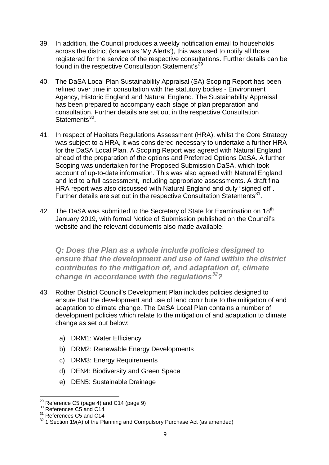- 39. In addition, the Council produces a weekly notification email to households across the district (known as 'My Alerts'), this was used to notify all those registered for the service of the respective consultations. Further details can be found in the respective Consultation Statement's<sup>[29](#page-8-0)</sup>
- 40. The DaSA Local Plan Sustainability Appraisal (SA) Scoping Report has been refined over time in consultation with the statutory bodies - Environment Agency, Historic England and Natural England. The Sustainability Appraisal has been prepared to accompany each stage of plan preparation and consultation. Further details are set out in the respective Consultation Statements<sup>[30](#page-8-1)</sup>
- 41. In respect of Habitats Regulations Assessment (HRA), whilst the Core Strategy was subject to a HRA, it was considered necessary to undertake a further HRA for the DaSA Local Plan. A Scoping Report was agreed with Natural England ahead of the preparation of the options and Preferred Options DaSA. A further Scoping was undertaken for the Proposed Submission DaSA, which took account of up-to-date information. This was also agreed with Natural England and led to a full assessment, including appropriate assessments. A draft final HRA report was also discussed with Natural England and duly "signed off". Further details are set out in the respective Consultation Statements<sup>[31](#page-8-2)</sup>.
- 42. The DaSA was submitted to the Secretary of State for Examination on 18<sup>th</sup> January 2019, with formal Notice of Submission published on the Council's website and the relevant documents also made available.

*Q: Does the Plan as a whole include policies designed to ensure that the development and use of land within the district contributes to the mitigation of, and adaptation of, climate change in accordance with the regulations[32](#page-8-3)?* 

- 43. Rother District Council's Development Plan includes policies designed to ensure that the development and use of land contribute to the mitigation of and adaptation to climate change. The DaSA Local Plan contains a number of development policies which relate to the mitigation of and adaptation to climate change as set out below:
	- a) DRM1: Water Efficiency
	- b) DRM2: Renewable Energy Developments
	- c) DRM3: Energy Requirements
	- d) DEN4: Biodiversity and Green Space
	- e) DEN5: Sustainable Drainage

<span id="page-8-0"></span> $^{29}$  Reference C5 (page 4) and C14 (page 9)<br> $^{30}$  References C5 and C14

<span id="page-8-2"></span><span id="page-8-1"></span><sup>&</sup>lt;sup>31</sup> References C5 and C14

<span id="page-8-3"></span><sup>&</sup>lt;sup>32</sup> 1 Section 19(A) of the Planning and Compulsory Purchase Act (as amended)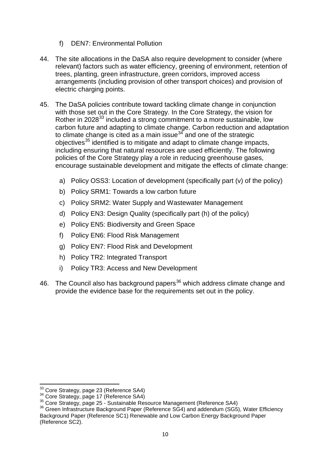- f) DEN7: Environmental Pollution
- 44. The site allocations in the DaSA also require development to consider (where relevant) factors such as water efficiency, greening of environment, retention of trees, planting, green infrastructure, green corridors, improved access arrangements (including provision of other transport choices) and provision of electric charging points.
- 45. The DaSA policies contribute toward tackling climate change in conjunction with those set out in the Core Strategy. In the Core Strategy, the vision for Rother in 2028<sup>[33](#page-9-0)</sup> included a strong commitment to a more sustainable, low carbon future and adapting to climate change. Carbon reduction and adaptation to climate change is cited as a main issue  $34$  and one of the strategic objectives<sup>[35](#page-9-2)</sup> identified is to mitigate and adapt to climate change impacts, including ensuring that natural resources are used efficiently. The following policies of the Core Strategy play a role in reducing greenhouse gases, encourage sustainable development and mitigate the effects of climate change:
	- a) Policy OSS3: Location of development (specifically part (v) of the policy)
	- b) Policy SRM1: Towards a low carbon future
	- c) Policy SRM2: Water Supply and Wastewater Management
	- d) Policy EN3: Design Quality (specifically part (h) of the policy)
	- e) Policy EN5: Biodiversity and Green Space
	- f) Policy EN6: Flood Risk Management
	- g) Policy EN7: Flood Risk and Development
	- h) Policy TR2: Integrated Transport
	- i) Policy TR3: Access and New Development
- 46. The Council also has background papers<sup>[36](#page-9-3)</sup> which address climate change and provide the evidence base for the requirements set out in the policy.

<span id="page-9-3"></span><span id="page-9-2"></span>

<span id="page-9-1"></span><span id="page-9-0"></span><sup>&</sup>lt;sup>33</sup> Core Strategy, page 23 (Reference SA4)<br><sup>34</sup> Core Strategy, page 17 (Reference SA4)<br><sup>35</sup> Core Strategy, page 25 - Sustainable Resource Management (Reference SA4)<br><sup>36</sup> Green Infrastructure Background Paper (Reference S Background Paper (Reference SC1) Renewable and Low Carbon Energy Background Paper (Reference SC2).